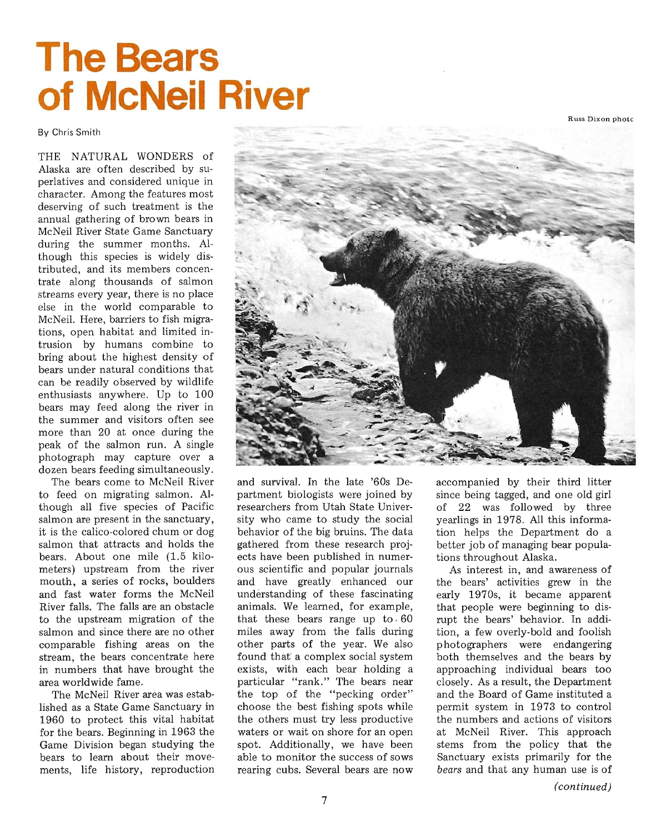Russ Dixon photc

## **The Bears of McNeil R'iver**

By Chris Smith

THE NATURAL WONDERS of Alaska are often described by superlatives and considered unique in character. Among the features most deserving of such treatment is the annual gathering of brown bears in McNeil River State Game Sanctuary during the summer months. Although this species is widely distributed, and its members concentrate along thousands of salmon streams every year, there is no place else in the world comparable to McNeil. Here, barriers to fish migrations, open habitat and limited intrusion by humans combine to bring about the highest density of bears under natural conditions that can be readily observed by wildlife enthusiasts anywhere. Up to 100 bears may feed along the river in the summer and visitors often see more than 20 at once during the peak of the salmon run. A single photograph may capture over a dozen bears feeding simultaneously.

The bears come to McNeil River to feed on migrating salmon. Although all five species of Pacific salmon are present in the sanctuary, it is the calico-colored chum or dog salmon that attracts and holds the bears. About one mile (1.5 kilometers) upstream from the river mouth, a series of rocks, boulders and fast water forms the McNeil River falls. The falls are an 0 bstacle to the upstream migration of the salmon and since there are no other comparable fishing areas on the stream, the bears concentrate here in numbers that have brought the area worldwide fame.

The McNeil River area was established as a State Game Sanctuary in 1960 to protect this vital habitat for the bears. Beginning in 1963 the Game Division began studying the bears to learn about their movements, life history, reproduction



and survival. In the late '60s Department biologists were joined by researchers from Utah State University who came to study the social behavior of the big bruins. The data gathered from these research projects have been published in numerous scientific and popular journals and have greatly enhanced our understanding of these fascinating animals. We learned, for example, that these bears range up to  $60$ miles away from the falls during other parts of the year. We also found that' a complex social system exists, with each bear holding a particular "rank." The bears near the top of the "pecking order" choose the best fishing spots while the others must try less productive waters or wait on shore for an open spot. Additionally, we have been able to monitor the success of sows rearing cubs. Several bears are now

accompanied by their third litter since being tagged, and one old girl of 22 was followed by three yearlings in 1978. All this information helps the Department do a better job of managing bear populations throughout Alaska.

As interest in, and awareness of the bears' activities grew in the early 1970s, it became apparent that people were beginning to disrupt the bears' behavior. In addition, a few overly-bold and foolish photographers were endangering both themselves and the bears by approaching individual bears too closely. As a result, the Department and the Board of Game instituted a permit system in 1973 to control the numbers and actions of visitors at McNeil River. This approach stems from the policy that the Sanctuary exists primarily for the *bears* and that any human use is of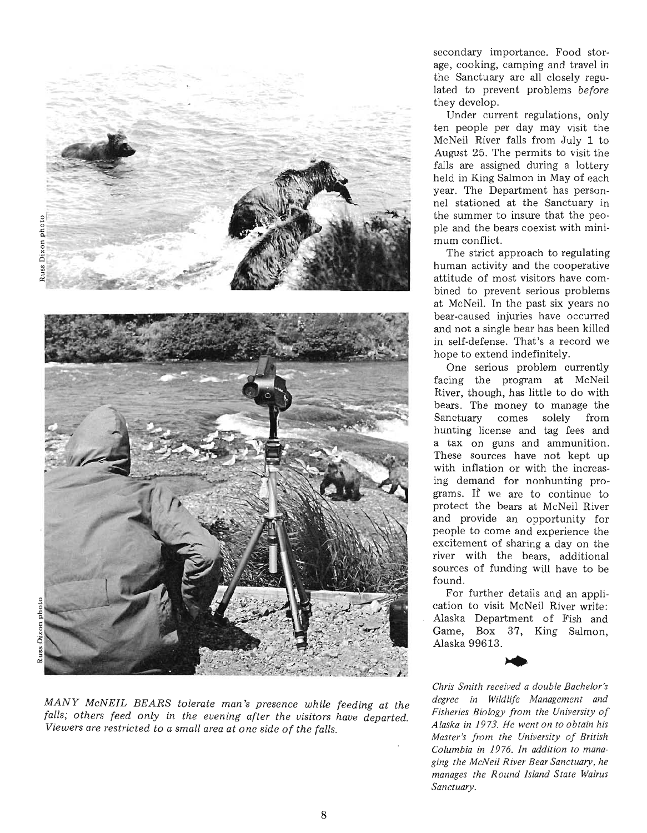

*MANY McNEIL BEARS tolerate man's presence while feeding at the falls; others feed only in the evening after the visitors have departed. Viewers are restricted to a small area at one side of the falls.* 

secondary importance. Food storage, cooking, camping and travel in the Sanctuary are all closely regulated to prevent problems *before* they develop.

Under current regulations, only ten people per day may visit the McNeil River falls from July 1 to August 25. The permits to visit the falls are assigned during a lottery held in King Salmon in May of each year. The Department has personnel stationed at the Sanctuary in the summer to insure that the people and the bears coexist with minimum conflict.

The strict approach to regulating human activity and the cooperative attitude of most visitors have combined to prevent serious problems at McNeil. In the past six years no bear- caused injuries have occurred and not a single bear has been killed in self-defense. That's a record we hope to extend indefinitely.

One serious problem currently facing the program at McNeil River, though, has little to do with bears. The money to manage the Sanctuary comes solely from hunting license and tag fees and a tax on guns and ammunition. These sources have not kept up with inflation or with the increasing demand for nonhunting programs. If we are to continue to protect the bears at McNeil River and provide an opportunity for people to come and experience the excitement of sharing a day on the river with the bears, additional sources of funding will have to be found.

For further details and an application to visit McNeil River write: Alaska Department of Fish and Game, Box 37, King Salmon, Alaska 99613. Alaska 99613.



*Chris Smith received a double Bachelo r 's degree in Wildlife Management and Fisheries Biology from the University of A laska in* 19 73. *He went o n to o bt ain his Master's from the University of British* Columbia in 1976. In addition to mana*ging t he McN eil River B ear Sanctuary , he manages the Round Island State Walrus Sanctuary .*